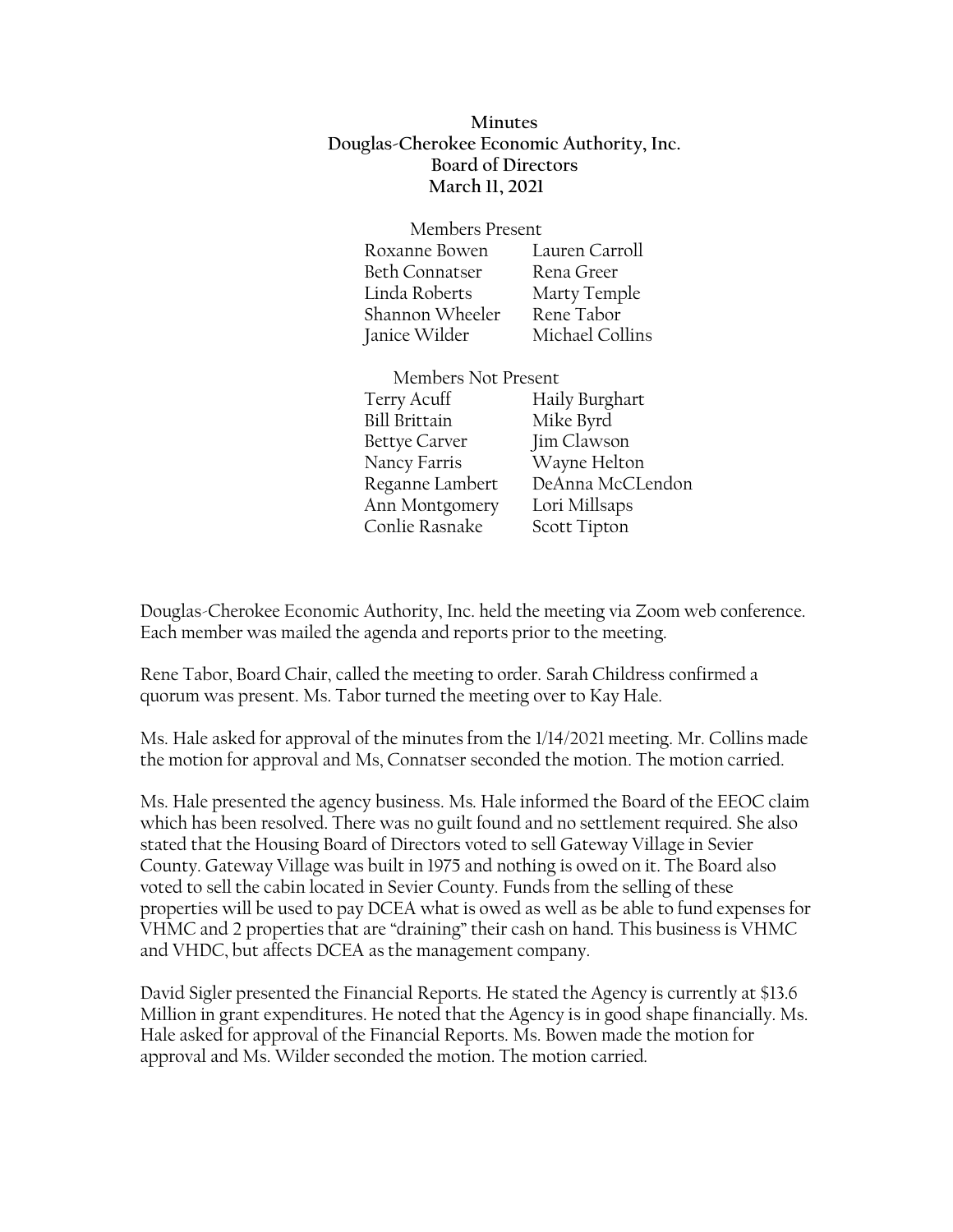**Minutes Douglas-Cherokee Economic Authority, Inc. Board of Directors March 11, 2021**

| <b>Members Present</b> |                 |
|------------------------|-----------------|
| Roxanne Bowen          | Lauren Carroll  |
| <b>Beth Connatser</b>  | Rena Greer      |
| Linda Roberts          | Marty Temple    |
| Shannon Wheeler        | Rene Tabor      |
| Janice Wilder          | Michael Collins |

| Members Not Present  |                  |
|----------------------|------------------|
| Terry Acuff          | Haily Burghart   |
| <b>Bill Brittain</b> | Mike Byrd        |
| Bettye Carver        | Jim Clawson      |
| Nancy Farris         | Wayne Helton     |
| Reganne Lambert      | DeAnna McCLendon |
| Ann Montgomery       | Lori Millsaps    |
| Conlie Rasnake       | Scott Tipton     |

Douglas-Cherokee Economic Authority, Inc. held the meeting via Zoom web conference. Each member was mailed the agenda and reports prior to the meeting.

Rene Tabor, Board Chair, called the meeting to order. Sarah Childress confirmed a quorum was present. Ms. Tabor turned the meeting over to Kay Hale.

Ms. Hale asked for approval of the minutes from the 1/14/2021 meeting. Mr. Collins made the motion for approval and Ms, Connatser seconded the motion. The motion carried.

Ms. Hale presented the agency business. Ms. Hale informed the Board of the EEOC claim which has been resolved. There was no guilt found and no settlement required. She also stated that the Housing Board of Directors voted to sell Gateway Village in Sevier County. Gateway Village was built in 1975 and nothing is owed on it. The Board also voted to sell the cabin located in Sevier County. Funds from the selling of these properties will be used to pay DCEA what is owed as well as be able to fund expenses for VHMC and 2 properties that are "draining" their cash on hand. This business is VHMC and VHDC, but affects DCEA as the management company.

David Sigler presented the Financial Reports. He stated the Agency is currently at \$13.6 Million in grant expenditures. He noted that the Agency is in good shape financially. Ms. Hale asked for approval of the Financial Reports. Ms. Bowen made the motion for approval and Ms. Wilder seconded the motion. The motion carried.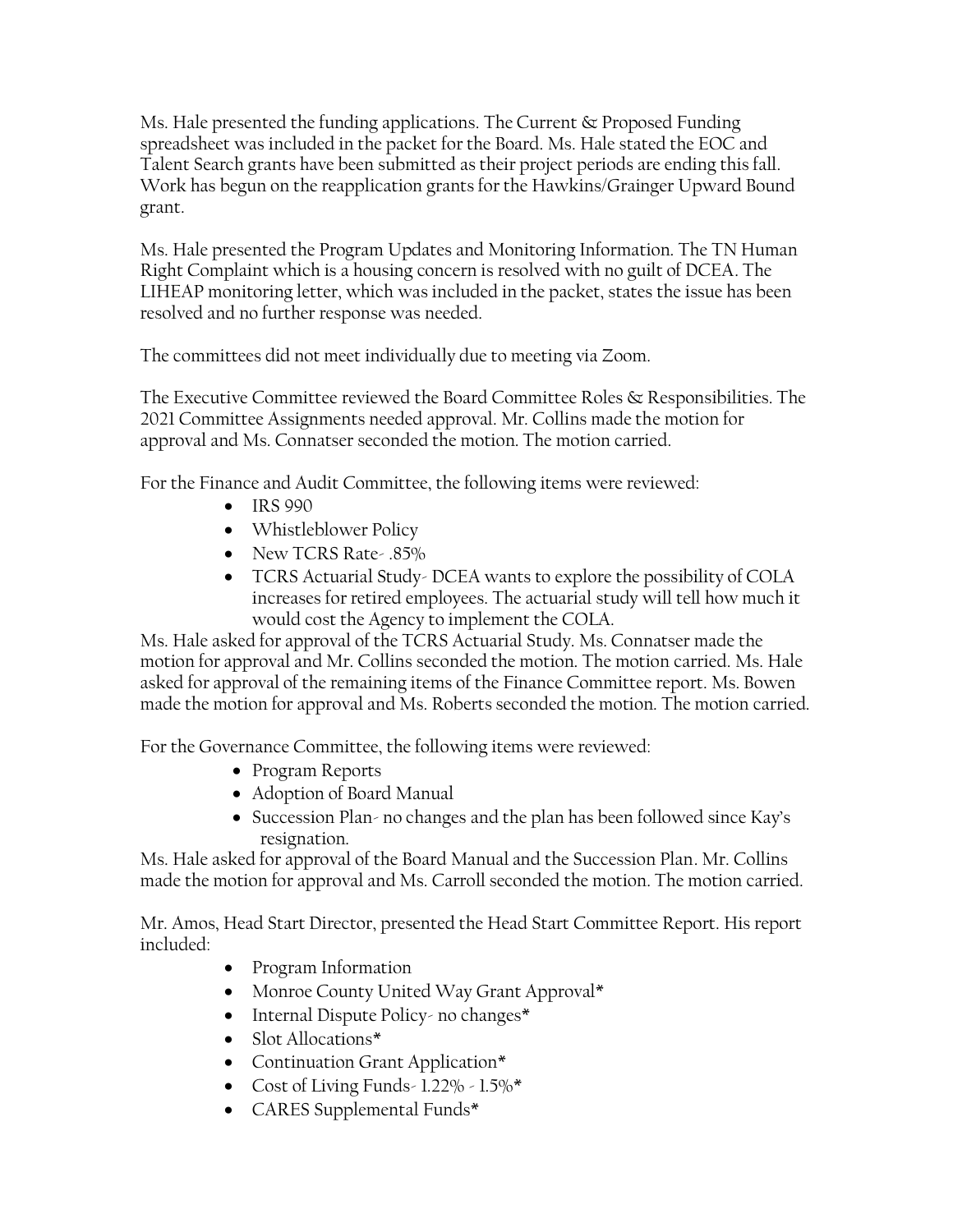Ms. Hale presented the funding applications. The Current & Proposed Funding spreadsheet was included in the packet for the Board. Ms. Hale stated the EOC and Talent Search grants have been submitted as their project periods are ending this fall. Work has begun on the reapplication grants for the Hawkins/Grainger Upward Bound grant.

Ms. Hale presented the Program Updates and Monitoring Information. The TN Human Right Complaint which is a housing concern is resolved with no guilt of DCEA. The LIHEAP monitoring letter, which was included in the packet, states the issue has been resolved and no further response was needed.

The committees did not meet individually due to meeting via Zoom.

The Executive Committee reviewed the Board Committee Roles & Responsibilities. The 2021 Committee Assignments needed approval. Mr. Collins made the motion for approval and Ms. Connatser seconded the motion. The motion carried.

For the Finance and Audit Committee, the following items were reviewed:

- IRS 990
- Whistleblower Policy
- New TCRS Rate- .85%
- TCRS Actuarial Study- DCEA wants to explore the possibility of COLA increases for retired employees. The actuarial study will tell how much it would cost the Agency to implement the COLA.

Ms. Hale asked for approval of the TCRS Actuarial Study. Ms. Connatser made the motion for approval and Mr. Collins seconded the motion. The motion carried. Ms. Hale asked for approval of the remaining items of the Finance Committee report. Ms. Bowen made the motion for approval and Ms. Roberts seconded the motion. The motion carried.

For the Governance Committee, the following items were reviewed:

- Program Reports
- Adoption of Board Manual
- Succession Plan- no changes and the plan has been followed since Kay's resignation.

Ms. Hale asked for approval of the Board Manual and the Succession Plan. Mr. Collins made the motion for approval and Ms. Carroll seconded the motion. The motion carried.

Mr. Amos, Head Start Director, presented the Head Start Committee Report. His report included:

- Program Information
- Monroe County United Way Grant Approval\*
- Internal Dispute Policy no changes\*
- Slot Allocations\*
- Continuation Grant Application\*
- Cost of Living Funds- 1.22% 1.5%\*
- CARES Supplemental Funds\*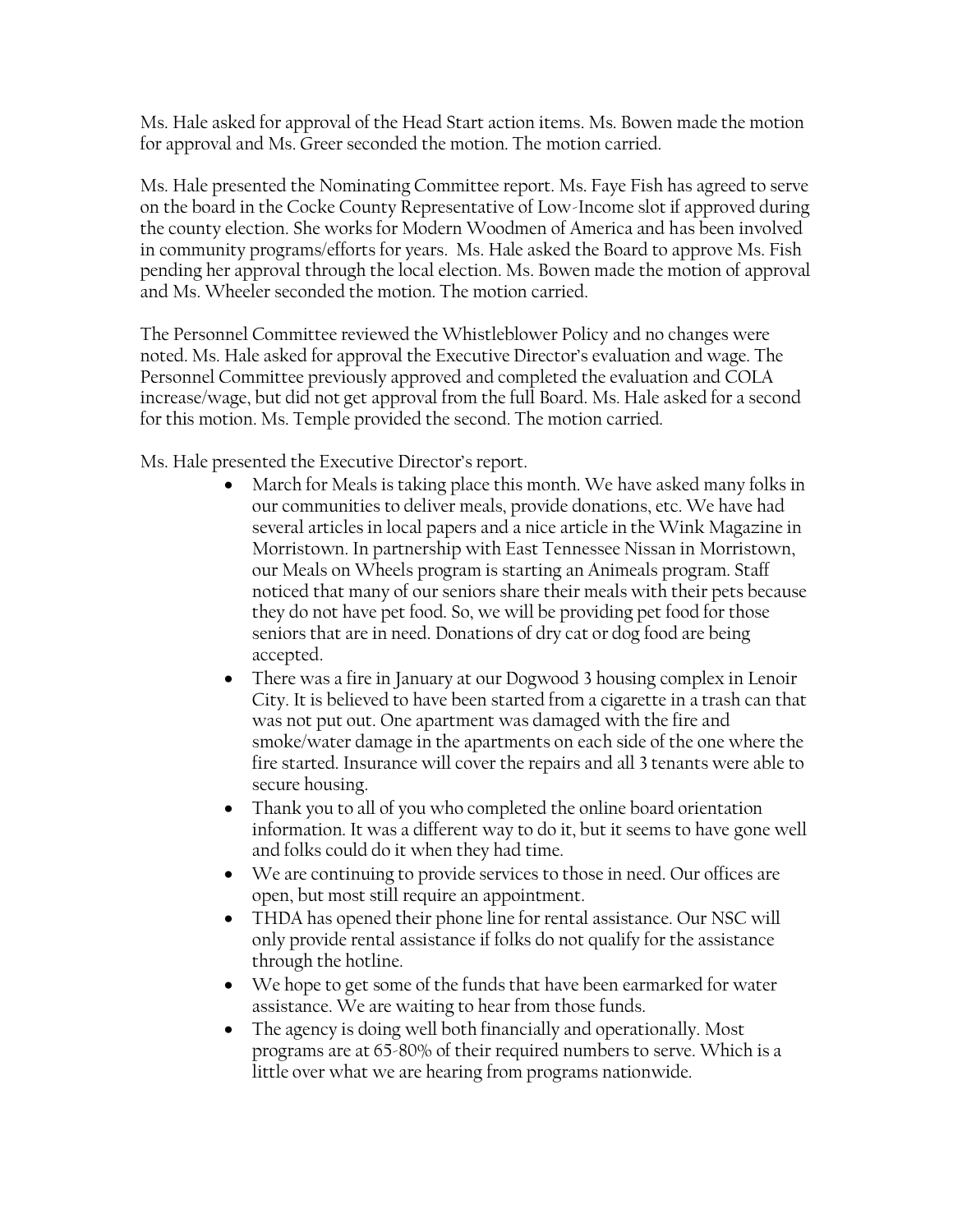Ms. Hale asked for approval of the Head Start action items. Ms. Bowen made the motion for approval and Ms. Greer seconded the motion. The motion carried.

Ms. Hale presented the Nominating Committee report. Ms. Faye Fish has agreed to serve on the board in the Cocke County Representative of Low-Income slot if approved during the county election. She works for Modern Woodmen of America and has been involved in community programs/efforts for years. Ms. Hale asked the Board to approve Ms. Fish pending her approval through the local election. Ms. Bowen made the motion of approval and Ms. Wheeler seconded the motion. The motion carried.

The Personnel Committee reviewed the Whistleblower Policy and no changes were noted. Ms. Hale asked for approval the Executive Director's evaluation and wage. The Personnel Committee previously approved and completed the evaluation and COLA increase/wage, but did not get approval from the full Board. Ms. Hale asked for a second for this motion. Ms. Temple provided the second. The motion carried.

Ms. Hale presented the Executive Director's report.

- March for Meals is taking place this month. We have asked many folks in our communities to deliver meals, provide donations, etc. We have had several articles in local papers and a nice article in the Wink Magazine in Morristown. In partnership with East Tennessee Nissan in Morristown, our Meals on Wheels program is starting an Animeals program. Staff noticed that many of our seniors share their meals with their pets because they do not have pet food. So, we will be providing pet food for those seniors that are in need. Donations of dry cat or dog food are being accepted.
- There was a fire in January at our Dogwood 3 housing complex in Lenoir City. It is believed to have been started from a cigarette in a trash can that was not put out. One apartment was damaged with the fire and smoke/water damage in the apartments on each side of the one where the fire started. Insurance will cover the repairs and all 3 tenants were able to secure housing.
- Thank you to all of you who completed the online board orientation information. It was a different way to do it, but it seems to have gone well and folks could do it when they had time.
- We are continuing to provide services to those in need. Our offices are open, but most still require an appointment.
- THDA has opened their phone line for rental assistance. Our NSC will only provide rental assistance if folks do not qualify for the assistance through the hotline.
- We hope to get some of the funds that have been earmarked for water assistance. We are waiting to hear from those funds.
- The agency is doing well both financially and operationally. Most programs are at 65-80% of their required numbers to serve. Which is a little over what we are hearing from programs nationwide.